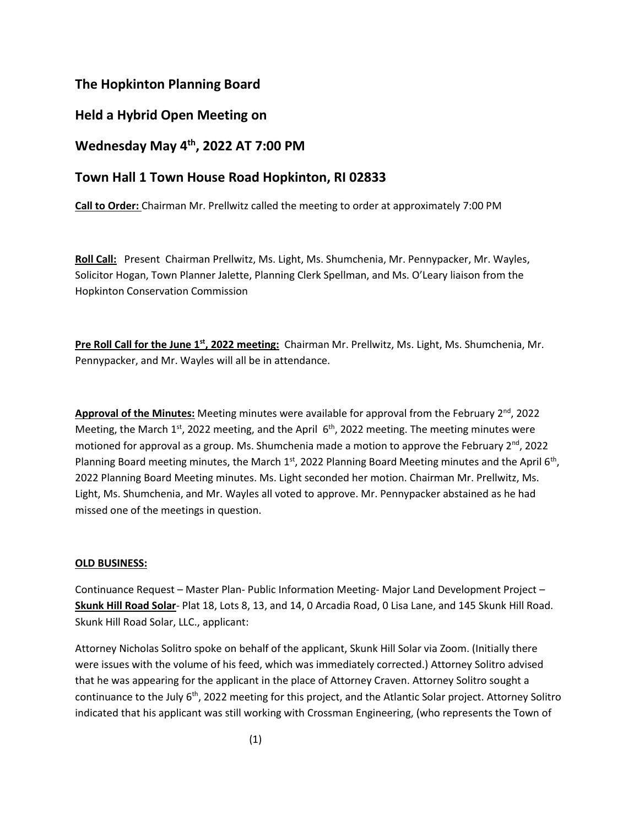# **The Hopkinton Planning Board**

## **Held a Hybrid Open Meeting on**

# **Wednesday May 4th, 2022 AT 7:00 PM**

## **Town Hall 1 Town House Road Hopkinton, RI 02833**

**Call to Order:** Chairman Mr. Prellwitz called the meeting to order at approximately 7:00 PM

**Roll Call:** Present Chairman Prellwitz, Ms. Light, Ms. Shumchenia, Mr. Pennypacker, Mr. Wayles, Solicitor Hogan, Town Planner Jalette, Planning Clerk Spellman, and Ms. O'Leary liaison from the Hopkinton Conservation Commission

**Pre Roll Call for the June 1st, 2022 meeting:** Chairman Mr. Prellwitz, Ms. Light, Ms. Shumchenia, Mr. Pennypacker, and Mr. Wayles will all be in attendance.

**Approval of the Minutes:** Meeting minutes were available for approval from the February 2<sup>nd</sup>, 2022 Meeting, the March 1<sup>st</sup>, 2022 meeting, and the April  $6<sup>th</sup>$ , 2022 meeting. The meeting minutes were motioned for approval as a group. Ms. Shumchenia made a motion to approve the February  $2^{nd}$ , 2022 Planning Board meeting minutes, the March  $1<sup>st</sup>$ , 2022 Planning Board Meeting minutes and the April 6<sup>th</sup>, 2022 Planning Board Meeting minutes. Ms. Light seconded her motion. Chairman Mr. Prellwitz, Ms. Light, Ms. Shumchenia, and Mr. Wayles all voted to approve. Mr. Pennypacker abstained as he had missed one of the meetings in question.

#### **OLD BUSINESS:**

Continuance Request – Master Plan- Public Information Meeting- Major Land Development Project – **Skunk Hill Road Solar**- Plat 18, Lots 8, 13, and 14, 0 Arcadia Road, 0 Lisa Lane, and 145 Skunk Hill Road. Skunk Hill Road Solar, LLC., applicant:

Attorney Nicholas Solitro spoke on behalf of the applicant, Skunk Hill Solar via Zoom. (Initially there were issues with the volume of his feed, which was immediately corrected.) Attorney Solitro advised that he was appearing for the applicant in the place of Attorney Craven. Attorney Solitro sought a continuance to the July 6<sup>th</sup>, 2022 meeting for this project, and the Atlantic Solar project. Attorney Solitro indicated that his applicant was still working with Crossman Engineering, (who represents the Town of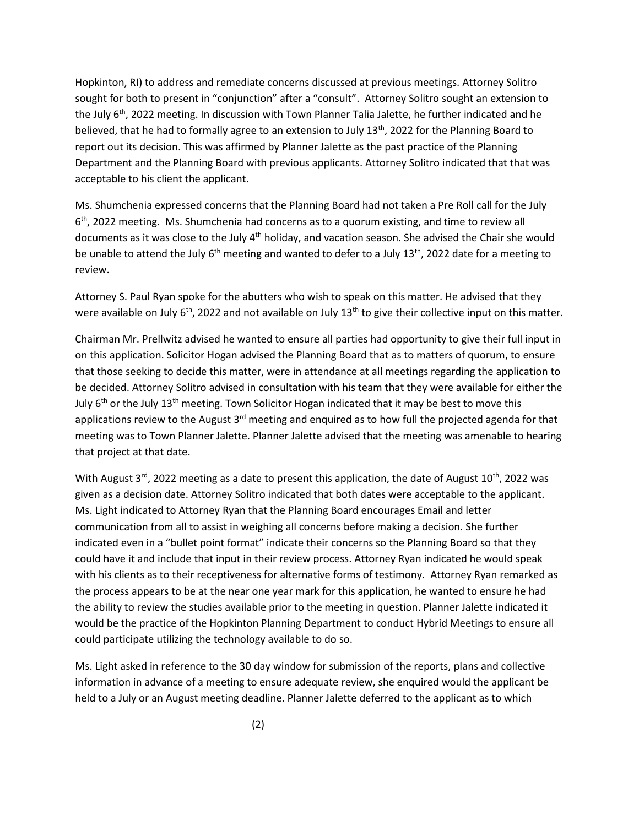Hopkinton, RI) to address and remediate concerns discussed at previous meetings. Attorney Solitro sought for both to present in "conjunction" after a "consult". Attorney Solitro sought an extension to the July 6<sup>th</sup>, 2022 meeting. In discussion with Town Planner Talia Jalette, he further indicated and he believed, that he had to formally agree to an extension to July 13<sup>th</sup>, 2022 for the Planning Board to report out its decision. This was affirmed by Planner Jalette as the past practice of the Planning Department and the Planning Board with previous applicants. Attorney Solitro indicated that that was acceptable to his client the applicant.

Ms. Shumchenia expressed concerns that the Planning Board had not taken a Pre Roll call for the July 6 th, 2022 meeting. Ms. Shumchenia had concerns as to a quorum existing, and time to review all documents as it was close to the July 4<sup>th</sup> holiday, and vacation season. She advised the Chair she would be unable to attend the July  $6<sup>th</sup>$  meeting and wanted to defer to a July 13<sup>th</sup>, 2022 date for a meeting to review.

Attorney S. Paul Ryan spoke for the abutters who wish to speak on this matter. He advised that they were available on July  $6<sup>th</sup>$ , 2022 and not available on July 13<sup>th</sup> to give their collective input on this matter.

Chairman Mr. Prellwitz advised he wanted to ensure all parties had opportunity to give their full input in on this application. Solicitor Hogan advised the Planning Board that as to matters of quorum, to ensure that those seeking to decide this matter, were in attendance at all meetings regarding the application to be decided. Attorney Solitro advised in consultation with his team that they were available for either the July  $6<sup>th</sup>$  or the July  $13<sup>th</sup>$  meeting. Town Solicitor Hogan indicated that it may be best to move this applications review to the August  $3<sup>rd</sup>$  meeting and enquired as to how full the projected agenda for that meeting was to Town Planner Jalette. Planner Jalette advised that the meeting was amenable to hearing that project at that date.

With August  $3^{rd}$ , 2022 meeting as a date to present this application, the date of August 10<sup>th</sup>, 2022 was given as a decision date. Attorney Solitro indicated that both dates were acceptable to the applicant. Ms. Light indicated to Attorney Ryan that the Planning Board encourages Email and letter communication from all to assist in weighing all concerns before making a decision. She further indicated even in a "bullet point format" indicate their concerns so the Planning Board so that they could have it and include that input in their review process. Attorney Ryan indicated he would speak with his clients as to their receptiveness for alternative forms of testimony. Attorney Ryan remarked as the process appears to be at the near one year mark for this application, he wanted to ensure he had the ability to review the studies available prior to the meeting in question. Planner Jalette indicated it would be the practice of the Hopkinton Planning Department to conduct Hybrid Meetings to ensure all could participate utilizing the technology available to do so.

Ms. Light asked in reference to the 30 day window for submission of the reports, plans and collective information in advance of a meeting to ensure adequate review, she enquired would the applicant be held to a July or an August meeting deadline. Planner Jalette deferred to the applicant as to which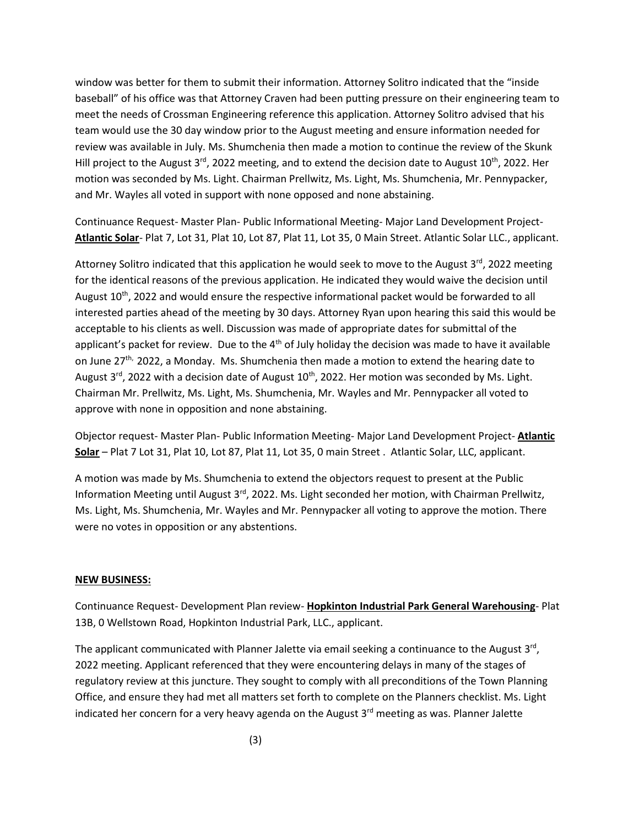window was better for them to submit their information. Attorney Solitro indicated that the "inside baseball" of his office was that Attorney Craven had been putting pressure on their engineering team to meet the needs of Crossman Engineering reference this application. Attorney Solitro advised that his team would use the 30 day window prior to the August meeting and ensure information needed for review was available in July. Ms. Shumchenia then made a motion to continue the review of the Skunk Hill project to the August 3<sup>rd</sup>, 2022 meeting, and to extend the decision date to August 10<sup>th</sup>, 2022. Her motion was seconded by Ms. Light. Chairman Prellwitz, Ms. Light, Ms. Shumchenia, Mr. Pennypacker, and Mr. Wayles all voted in support with none opposed and none abstaining.

Continuance Request- Master Plan- Public Informational Meeting- Major Land Development Project-**Atlantic Solar**- Plat 7, Lot 31, Plat 10, Lot 87, Plat 11, Lot 35, 0 Main Street. Atlantic Solar LLC., applicant.

Attorney Solitro indicated that this application he would seek to move to the August  $3<sup>rd</sup>$ , 2022 meeting for the identical reasons of the previous application. He indicated they would waive the decision until August  $10<sup>th</sup>$ , 2022 and would ensure the respective informational packet would be forwarded to all interested parties ahead of the meeting by 30 days. Attorney Ryan upon hearing this said this would be acceptable to his clients as well. Discussion was made of appropriate dates for submittal of the applicant's packet for review. Due to the  $4<sup>th</sup>$  of July holiday the decision was made to have it available on June 27<sup>th,</sup> 2022, a Monday. Ms. Shumchenia then made a motion to extend the hearing date to August 3<sup>rd</sup>, 2022 with a decision date of August 10<sup>th</sup>, 2022. Her motion was seconded by Ms. Light. Chairman Mr. Prellwitz, Ms. Light, Ms. Shumchenia, Mr. Wayles and Mr. Pennypacker all voted to approve with none in opposition and none abstaining.

Objector request- Master Plan- Public Information Meeting- Major Land Development Project- **Atlantic Solar** – Plat 7 Lot 31, Plat 10, Lot 87, Plat 11, Lot 35, 0 main Street . Atlantic Solar, LLC, applicant.

A motion was made by Ms. Shumchenia to extend the objectors request to present at the Public Information Meeting until August 3<sup>rd</sup>, 2022. Ms. Light seconded her motion, with Chairman Prellwitz, Ms. Light, Ms. Shumchenia, Mr. Wayles and Mr. Pennypacker all voting to approve the motion. There were no votes in opposition or any abstentions.

#### **NEW BUSINESS:**

Continuance Request- Development Plan review- **Hopkinton Industrial Park General Warehousing**- Plat 13B, 0 Wellstown Road, Hopkinton Industrial Park, LLC., applicant.

The applicant communicated with Planner Jalette via email seeking a continuance to the August 3<sup>rd</sup>, 2022 meeting. Applicant referenced that they were encountering delays in many of the stages of regulatory review at this juncture. They sought to comply with all preconditions of the Town Planning Office, and ensure they had met all matters set forth to complete on the Planners checklist. Ms. Light indicated her concern for a very heavy agenda on the August  $3<sup>rd</sup>$  meeting as was. Planner Jalette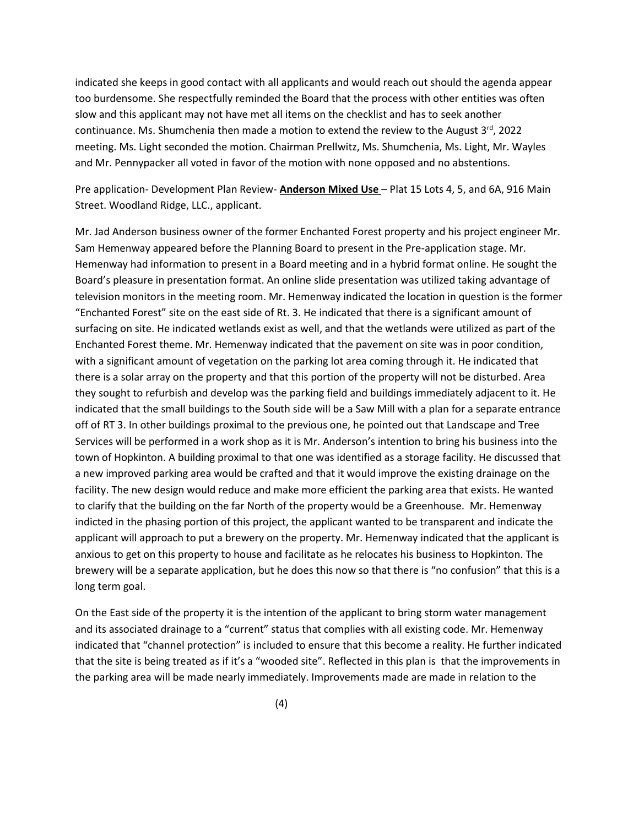indicated she keeps in good contact with all applicants and would reach out should the agenda appear too burdensome. She respectfully reminded the Board that the process with other entities was often slow and this applicant may not have met all items on the checklist and has to seek another continuance. Ms. Shumchenia then made a motion to extend the review to the August  $3^{rd}$ , 2022 meeting. Ms. Light seconded the motion. Chairman Prellwitz, Ms. Shumchenia, Ms. Light, Mr. Wayles and Mr. Pennypacker all voted in favor of the motion with none opposed and no abstentions.

Pre application- Development Plan Review- **Anderson Mixed Use** – Plat 15 Lots 4, 5, and 6A, 916 Main Street. Woodland Ridge, LLC., applicant.

Mr. Jad Anderson business owner of the former Enchanted Forest property and his project engineer Mr. Sam Hemenway appeared before the Planning Board to present in the Pre-application stage. Mr. Hemenway had information to present in a Board meeting and in a hybrid format online. He sought the Board's pleasure in presentation format. An online slide presentation was utilized taking advantage of television monitors in the meeting room. Mr. Hemenway indicated the location in question is the former "Enchanted Forest" site on the east side of Rt. 3. He indicated that there is a significant amount of surfacing on site. He indicated wetlands exist as well, and that the wetlands were utilized as part of the Enchanted Forest theme. Mr. Hemenway indicated that the pavement on site was in poor condition, with a significant amount of vegetation on the parking lot area coming through it. He indicated that there is a solar array on the property and that this portion of the property will not be disturbed. Area they sought to refurbish and develop was the parking field and buildings immediately adjacent to it. He indicated that the small buildings to the South side will be a Saw Mill with a plan for a separate entrance off of RT 3. In other buildings proximal to the previous one, he pointed out that Landscape and Tree Services will be performed in a work shop as it is Mr. Anderson's intention to bring his business into the town of Hopkinton. A building proximal to that one was identified as a storage facility. He discussed that a new improved parking area would be crafted and that it would improve the existing drainage on the facility. The new design would reduce and make more efficient the parking area that exists. He wanted to clarify that the building on the far North of the property would be a Greenhouse. Mr. Hemenway indicted in the phasing portion of this project, the applicant wanted to be transparent and indicate the applicant will approach to put a brewery on the property. Mr. Hemenway indicated that the applicant is anxious to get on this property to house and facilitate as he relocates his business to Hopkinton. The brewery will be a separate application, but he does this now so that there is "no confusion" that this is a long term goal.

On the East side of the property it is the intention of the applicant to bring storm water management and its associated drainage to a "current" status that complies with all existing code. Mr. Hemenway indicated that "channel protection" is included to ensure that this become a reality. He further indicated that the site is being treated as if it's a "wooded site". Reflected in this plan is that the improvements in the parking area will be made nearly immediately. Improvements made are made in relation to the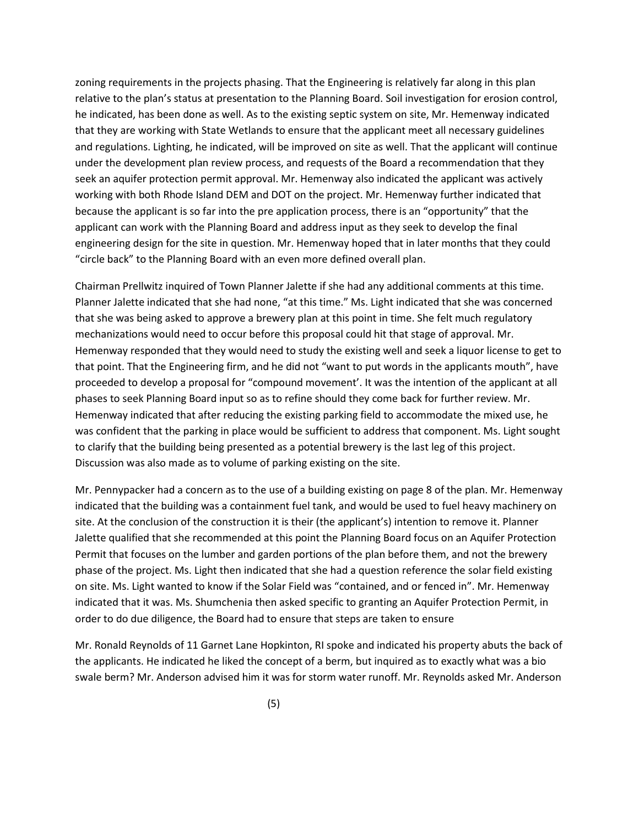zoning requirements in the projects phasing. That the Engineering is relatively far along in this plan relative to the plan's status at presentation to the Planning Board. Soil investigation for erosion control, he indicated, has been done as well. As to the existing septic system on site, Mr. Hemenway indicated that they are working with State Wetlands to ensure that the applicant meet all necessary guidelines and regulations. Lighting, he indicated, will be improved on site as well. That the applicant will continue under the development plan review process, and requests of the Board a recommendation that they seek an aquifer protection permit approval. Mr. Hemenway also indicated the applicant was actively working with both Rhode Island DEM and DOT on the project. Mr. Hemenway further indicated that because the applicant is so far into the pre application process, there is an "opportunity" that the applicant can work with the Planning Board and address input as they seek to develop the final engineering design for the site in question. Mr. Hemenway hoped that in later months that they could "circle back" to the Planning Board with an even more defined overall plan.

Chairman Prellwitz inquired of Town Planner Jalette if she had any additional comments at this time. Planner Jalette indicated that she had none, "at this time." Ms. Light indicated that she was concerned that she was being asked to approve a brewery plan at this point in time. She felt much regulatory mechanizations would need to occur before this proposal could hit that stage of approval. Mr. Hemenway responded that they would need to study the existing well and seek a liquor license to get to that point. That the Engineering firm, and he did not "want to put words in the applicants mouth", have proceeded to develop a proposal for "compound movement'. It was the intention of the applicant at all phases to seek Planning Board input so as to refine should they come back for further review. Mr. Hemenway indicated that after reducing the existing parking field to accommodate the mixed use, he was confident that the parking in place would be sufficient to address that component. Ms. Light sought to clarify that the building being presented as a potential brewery is the last leg of this project. Discussion was also made as to volume of parking existing on the site.

Mr. Pennypacker had a concern as to the use of a building existing on page 8 of the plan. Mr. Hemenway indicated that the building was a containment fuel tank, and would be used to fuel heavy machinery on site. At the conclusion of the construction it is their (the applicant's) intention to remove it. Planner Jalette qualified that she recommended at this point the Planning Board focus on an Aquifer Protection Permit that focuses on the lumber and garden portions of the plan before them, and not the brewery phase of the project. Ms. Light then indicated that she had a question reference the solar field existing on site. Ms. Light wanted to know if the Solar Field was "contained, and or fenced in". Mr. Hemenway indicated that it was. Ms. Shumchenia then asked specific to granting an Aquifer Protection Permit, in order to do due diligence, the Board had to ensure that steps are taken to ensure

Mr. Ronald Reynolds of 11 Garnet Lane Hopkinton, RI spoke and indicated his property abuts the back of the applicants. He indicated he liked the concept of a berm, but inquired as to exactly what was a bio swale berm? Mr. Anderson advised him it was for storm water runoff. Mr. Reynolds asked Mr. Anderson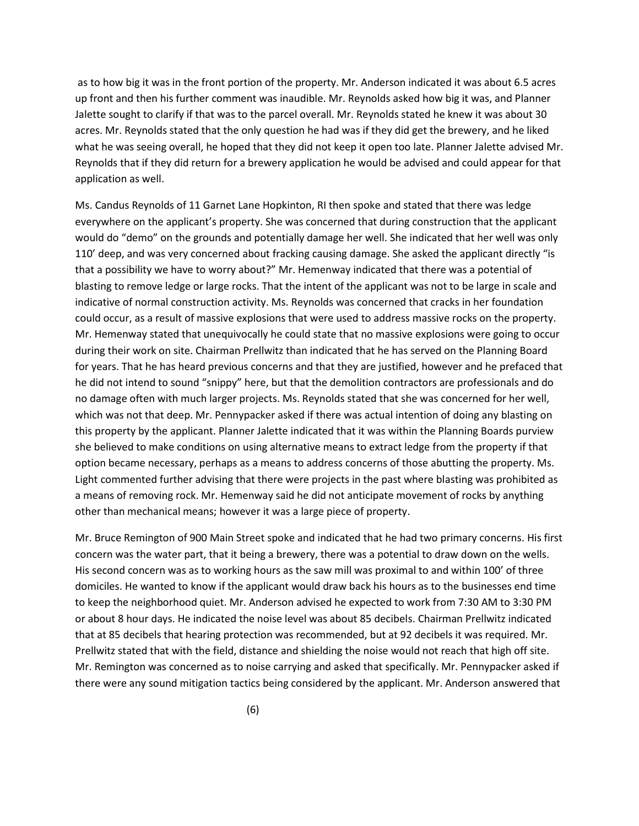as to how big it was in the front portion of the property. Mr. Anderson indicated it was about 6.5 acres up front and then his further comment was inaudible. Mr. Reynolds asked how big it was, and Planner Jalette sought to clarify if that was to the parcel overall. Mr. Reynolds stated he knew it was about 30 acres. Mr. Reynolds stated that the only question he had was if they did get the brewery, and he liked what he was seeing overall, he hoped that they did not keep it open too late. Planner Jalette advised Mr. Reynolds that if they did return for a brewery application he would be advised and could appear for that application as well.

Ms. Candus Reynolds of 11 Garnet Lane Hopkinton, RI then spoke and stated that there was ledge everywhere on the applicant's property. She was concerned that during construction that the applicant would do "demo" on the grounds and potentially damage her well. She indicated that her well was only 110' deep, and was very concerned about fracking causing damage. She asked the applicant directly "is that a possibility we have to worry about?" Mr. Hemenway indicated that there was a potential of blasting to remove ledge or large rocks. That the intent of the applicant was not to be large in scale and indicative of normal construction activity. Ms. Reynolds was concerned that cracks in her foundation could occur, as a result of massive explosions that were used to address massive rocks on the property. Mr. Hemenway stated that unequivocally he could state that no massive explosions were going to occur during their work on site. Chairman Prellwitz than indicated that he has served on the Planning Board for years. That he has heard previous concerns and that they are justified, however and he prefaced that he did not intend to sound "snippy" here, but that the demolition contractors are professionals and do no damage often with much larger projects. Ms. Reynolds stated that she was concerned for her well, which was not that deep. Mr. Pennypacker asked if there was actual intention of doing any blasting on this property by the applicant. Planner Jalette indicated that it was within the Planning Boards purview she believed to make conditions on using alternative means to extract ledge from the property if that option became necessary, perhaps as a means to address concerns of those abutting the property. Ms. Light commented further advising that there were projects in the past where blasting was prohibited as a means of removing rock. Mr. Hemenway said he did not anticipate movement of rocks by anything other than mechanical means; however it was a large piece of property.

Mr. Bruce Remington of 900 Main Street spoke and indicated that he had two primary concerns. His first concern was the water part, that it being a brewery, there was a potential to draw down on the wells. His second concern was as to working hours as the saw mill was proximal to and within 100' of three domiciles. He wanted to know if the applicant would draw back his hours as to the businesses end time to keep the neighborhood quiet. Mr. Anderson advised he expected to work from 7:30 AM to 3:30 PM or about 8 hour days. He indicated the noise level was about 85 decibels. Chairman Prellwitz indicated that at 85 decibels that hearing protection was recommended, but at 92 decibels it was required. Mr. Prellwitz stated that with the field, distance and shielding the noise would not reach that high off site. Mr. Remington was concerned as to noise carrying and asked that specifically. Mr. Pennypacker asked if there were any sound mitigation tactics being considered by the applicant. Mr. Anderson answered that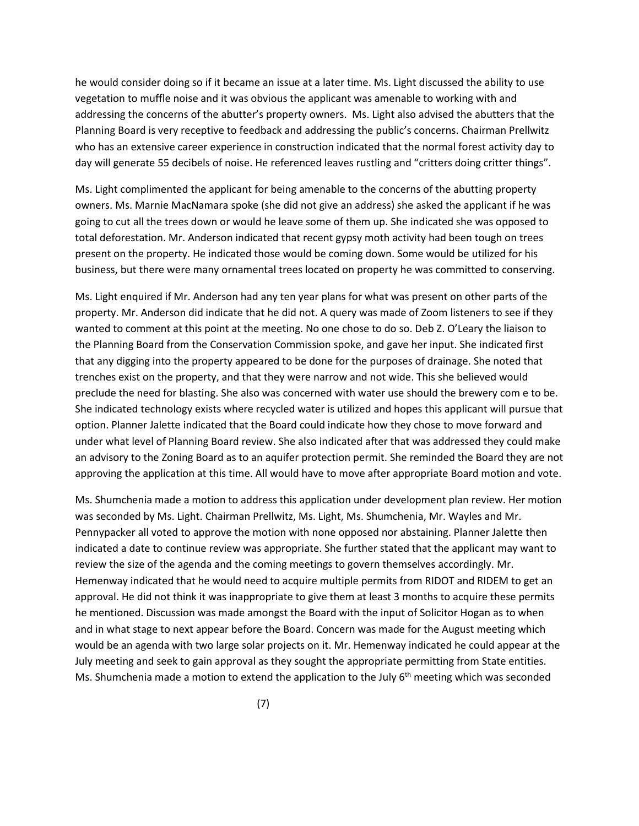he would consider doing so if it became an issue at a later time. Ms. Light discussed the ability to use vegetation to muffle noise and it was obvious the applicant was amenable to working with and addressing the concerns of the abutter's property owners. Ms. Light also advised the abutters that the Planning Board is very receptive to feedback and addressing the public's concerns. Chairman Prellwitz who has an extensive career experience in construction indicated that the normal forest activity day to day will generate 55 decibels of noise. He referenced leaves rustling and "critters doing critter things".

Ms. Light complimented the applicant for being amenable to the concerns of the abutting property owners. Ms. Marnie MacNamara spoke (she did not give an address) she asked the applicant if he was going to cut all the trees down or would he leave some of them up. She indicated she was opposed to total deforestation. Mr. Anderson indicated that recent gypsy moth activity had been tough on trees present on the property. He indicated those would be coming down. Some would be utilized for his business, but there were many ornamental trees located on property he was committed to conserving.

Ms. Light enquired if Mr. Anderson had any ten year plans for what was present on other parts of the property. Mr. Anderson did indicate that he did not. A query was made of Zoom listeners to see if they wanted to comment at this point at the meeting. No one chose to do so. Deb Z. O'Leary the liaison to the Planning Board from the Conservation Commission spoke, and gave her input. She indicated first that any digging into the property appeared to be done for the purposes of drainage. She noted that trenches exist on the property, and that they were narrow and not wide. This she believed would preclude the need for blasting. She also was concerned with water use should the brewery com e to be. She indicated technology exists where recycled water is utilized and hopes this applicant will pursue that option. Planner Jalette indicated that the Board could indicate how they chose to move forward and under what level of Planning Board review. She also indicated after that was addressed they could make an advisory to the Zoning Board as to an aquifer protection permit. She reminded the Board they are not approving the application at this time. All would have to move after appropriate Board motion and vote.

Ms. Shumchenia made a motion to address this application under development plan review. Her motion was seconded by Ms. Light. Chairman Prellwitz, Ms. Light, Ms. Shumchenia, Mr. Wayles and Mr. Pennypacker all voted to approve the motion with none opposed nor abstaining. Planner Jalette then indicated a date to continue review was appropriate. She further stated that the applicant may want to review the size of the agenda and the coming meetings to govern themselves accordingly. Mr. Hemenway indicated that he would need to acquire multiple permits from RIDOT and RIDEM to get an approval. He did not think it was inappropriate to give them at least 3 months to acquire these permits he mentioned. Discussion was made amongst the Board with the input of Solicitor Hogan as to when and in what stage to next appear before the Board. Concern was made for the August meeting which would be an agenda with two large solar projects on it. Mr. Hemenway indicated he could appear at the July meeting and seek to gain approval as they sought the appropriate permitting from State entities. Ms. Shumchenia made a motion to extend the application to the July 6<sup>th</sup> meeting which was seconded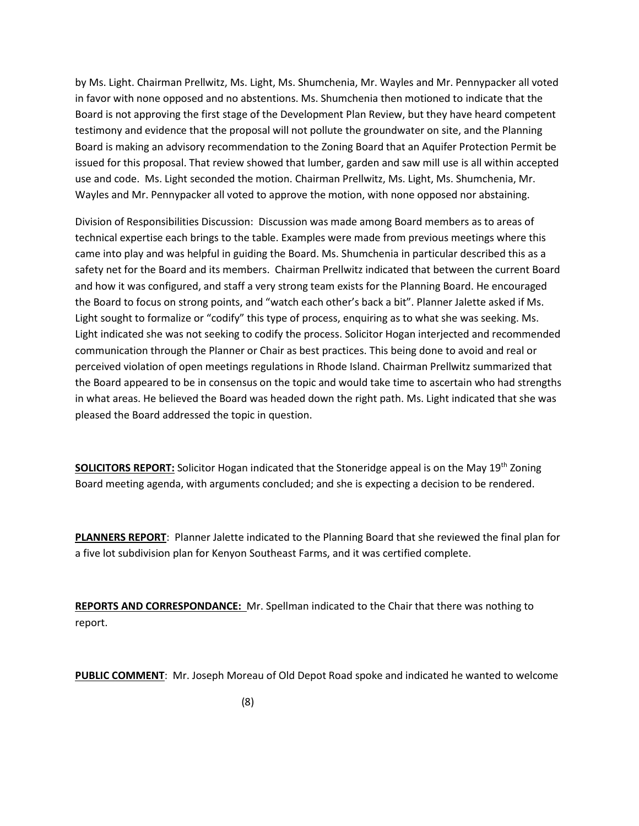by Ms. Light. Chairman Prellwitz, Ms. Light, Ms. Shumchenia, Mr. Wayles and Mr. Pennypacker all voted in favor with none opposed and no abstentions. Ms. Shumchenia then motioned to indicate that the Board is not approving the first stage of the Development Plan Review, but they have heard competent testimony and evidence that the proposal will not pollute the groundwater on site, and the Planning Board is making an advisory recommendation to the Zoning Board that an Aquifer Protection Permit be issued for this proposal. That review showed that lumber, garden and saw mill use is all within accepted use and code. Ms. Light seconded the motion. Chairman Prellwitz, Ms. Light, Ms. Shumchenia, Mr. Wayles and Mr. Pennypacker all voted to approve the motion, with none opposed nor abstaining.

Division of Responsibilities Discussion: Discussion was made among Board members as to areas of technical expertise each brings to the table. Examples were made from previous meetings where this came into play and was helpful in guiding the Board. Ms. Shumchenia in particular described this as a safety net for the Board and its members. Chairman Prellwitz indicated that between the current Board and how it was configured, and staff a very strong team exists for the Planning Board. He encouraged the Board to focus on strong points, and "watch each other's back a bit". Planner Jalette asked if Ms. Light sought to formalize or "codify" this type of process, enquiring as to what she was seeking. Ms. Light indicated she was not seeking to codify the process. Solicitor Hogan interjected and recommended communication through the Planner or Chair as best practices. This being done to avoid and real or perceived violation of open meetings regulations in Rhode Island. Chairman Prellwitz summarized that the Board appeared to be in consensus on the topic and would take time to ascertain who had strengths in what areas. He believed the Board was headed down the right path. Ms. Light indicated that she was pleased the Board addressed the topic in question.

**SOLICITORS REPORT:** Solicitor Hogan indicated that the Stoneridge appeal is on the May 19<sup>th</sup> Zoning Board meeting agenda, with arguments concluded; and she is expecting a decision to be rendered.

**PLANNERS REPORT**: Planner Jalette indicated to the Planning Board that she reviewed the final plan for a five lot subdivision plan for Kenyon Southeast Farms, and it was certified complete.

**REPORTS AND CORRESPONDANCE:** Mr. Spellman indicated to the Chair that there was nothing to report.

**PUBLIC COMMENT**: Mr. Joseph Moreau of Old Depot Road spoke and indicated he wanted to welcome